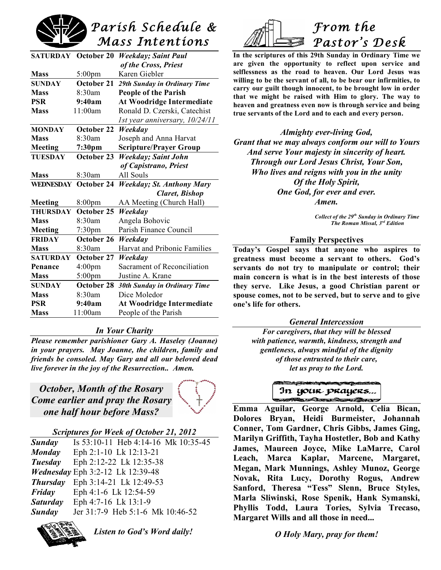

|                 | <b>SATURDAY October 20</b> | <b>Weekday</b> ; Saint Paul       |  |
|-----------------|----------------------------|-----------------------------------|--|
|                 |                            | of the Cross, Priest              |  |
| <b>Mass</b>     | $5:00$ pm                  | Karen Giebler                     |  |
| <b>SUNDAY</b>   | October 21                 | 29th Sunday in Ordinary Time      |  |
| <b>Mass</b>     | 8:30am                     | <b>People of the Parish</b>       |  |
| <b>PSR</b>      | 9:40am                     | <b>At Woodridge Intermediate</b>  |  |
| <b>Mass</b>     | 11:00am                    | Ronald D. Czerski, Catechist      |  |
|                 |                            | 1st year anniversary, 10/24/11    |  |
| <b>MONDAY</b>   | October 22                 | Weekday                           |  |
| <b>Mass</b>     | 8:30am                     | Joseph and Anna Harvat            |  |
| Meeting         | 7:30 <sub>pm</sub>         | <b>Scripture/Prayer Group</b>     |  |
| <b>TUESDAY</b>  | October 23                 | <b>Weekday</b> ; Saint John       |  |
|                 |                            | of Capistrano, Priest             |  |
| <b>Mass</b>     | 8:30am                     | All Souls                         |  |
| WEDNESDAY       | October 24                 | <b>Weekday</b> ; St. Anthony Mary |  |
|                 |                            | <b>Claret, Bishop</b>             |  |
| Meeting         | 8:00pm                     | AA Meeting (Church Hall)          |  |
| <b>THURSDAY</b> | October 25                 | Weekday                           |  |
| Mass            | 8:30am                     | Angela Bohovic                    |  |
| Meeting         | 7:30pm                     | Parish Finance Council            |  |
| <b>FRIDAY</b>   | October 26                 | Weekday                           |  |
| <b>Mass</b>     | 8:30am                     | Harvat and Pribonic Families      |  |
| <b>SATURDAY</b> | October 27                 | Weekday                           |  |
| Penance         | 4:00 <sub>pm</sub>         | Sacrament of Reconciliation       |  |
| <b>Mass</b>     | $5:00$ pm                  | Justine A. Krane                  |  |
| <b>SUNDAY</b>   | October 28                 | 30th Sunday in Ordinary Time      |  |
| <b>Mass</b>     | 8:30am                     | Dice Moledor                      |  |
| <b>PSR</b>      | 9:40am                     | At Woodridge Intermediate         |  |
| <b>Mass</b>     | 11:00am                    | People of the Parish              |  |

#### *In Your Charity*

*Please remember parishioner Gary A. Haseley (Joanne) in your prayers. May Joanne, the children, family and friends be consoled. May Gary and all our beloved dead live forever in the joy of the Resurrection.. Amen.*

*October, Month of the Rosary Come earlier and pray the Rosary one half hour before Mass?*



#### *Scriptures for Week of October 21, 2012*

| Sunday          | Is 53:10-11 Heb 4:14-16 Mk 10:35-45     |
|-----------------|-----------------------------------------|
| <b>Monday</b>   | Eph 2:1-10 Lk 12:13-21                  |
| Tuesday         | Eph 2:12-22 Lk 12:35-38                 |
|                 | Wednesday Eph 3:2-12 Lk 12:39-48        |
|                 | <b>Thursday</b> Eph 3:14-21 Lk 12:49-53 |
| Friday          | Eph 4:1-6 Lk 12:54-59                   |
| <i>Saturday</i> | Eph 4:7-16 Lk 13:1-9                    |
| Sunday          | Jer 31:7-9 Heb 5:1-6 Mk 10:46-52        |
|                 |                                         |



*Listen to God's Word daily!*



**In the scriptures of this 29th Sunday in Ordinary Time we are given the opportunity to reflect upon service and selflessness as the road to heaven. Our Lord Jesus was willing to be the servant of all, to be bear our infirmities, to carry our guilt though innocent, to be brought low in order that we might be raised with Him to glory. The way to heaven and greatness even now is through service and being true servants of the Lord and to each and every person.**

*Almighty ever-living God, Grant that we may always conform our will to Yours And serve Your majesty in sincerity of heart. Through our Lord Jesus Christ, Your Son, Who lives and reigns with you in the unity Of the Holy Spirit, One God, for ever and ever. Amen.*

> *Collect of the 29th Sunday in Ordinary Time The Roman Missal, 3rd Edition*

#### **Family Perspectives**

**Today's Gospel says that anyone who aspires to greatness must become a servant to others. God's servants do not try to manipulate or control; their main concern is what is in the best interests of those they serve. Like Jesus, a good Christian parent or spouse comes, not to be served, but to serve and to give one's life for others.**

*General Intercession*

*For caregivers, that they will be blessed with patience, warmth, kindness, strength and gentleness, always mindful of the dignity of those entrusted to their care, let us pray to the Lord.*



**Emma Aguilar, George Arnold, Celia Bican, Dolores Bryan, Heidi Burmeister, Johannah Conner, Tom Gardner, Chris Gibbs, James Ging, Marilyn Griffith, Tayha Hostetler, Bob and Kathy James, Maureen Joyce, Mike LaMarre, Carol Leach, Marca Kaplar, Marcene, Margaret, Megan, Mark Munnings, Ashley Munoz, George Novak, Rita Lucy, Dorothy Rogus, Andrew Sanford, Theresa "Tess" Slenn, Bruce Styles, Marla Sliwinski, Rose Spenik, Hank Symanski, Phyllis Todd, Laura Tories, Sylvia Trecaso, Margaret Wills and all those in need...**

*O Holy Mary, pray for them!*